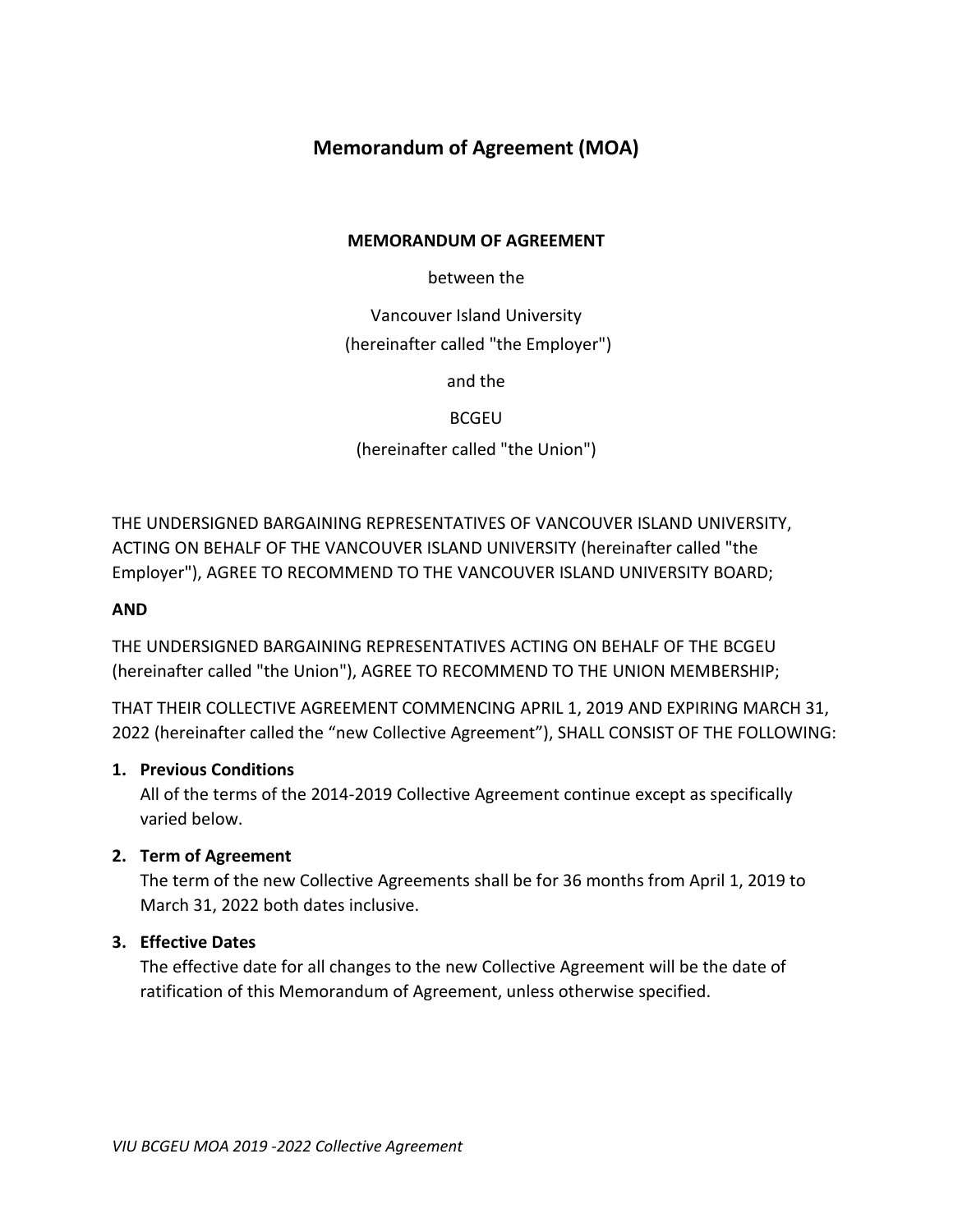# **Memorandum of Agreement (MOA)**

## **MEMORANDUM OF AGREEMENT**

between the

Vancouver Island University (hereinafter called "the Employer")

and the

BCGEU

(hereinafter called "the Union")

THE UNDERSIGNED BARGAINING REPRESENTATIVES OF VANCOUVER ISLAND UNIVERSITY, ACTING ON BEHALF OF THE VANCOUVER ISLAND UNIVERSITY (hereinafter called "the Employer"), AGREE TO RECOMMEND TO THE VANCOUVER ISLAND UNIVERSITY BOARD;

# **AND**

THE UNDERSIGNED BARGAINING REPRESENTATIVES ACTING ON BEHALF OF THE BCGEU (hereinafter called "the Union"), AGREE TO RECOMMEND TO THE UNION MEMBERSHIP;

THAT THEIR COLLECTIVE AGREEMENT COMMENCING APRIL 1, 2019 AND EXPIRING MARCH 31, 2022 (hereinafter called the "new Collective Agreement"), SHALL CONSIST OF THE FOLLOWING:

## **1. Previous Conditions**

All of the terms of the 2014-2019 Collective Agreement continue except as specifically varied below.

## **2. Term of Agreement**

The term of the new Collective Agreements shall be for 36 months from April 1, 2019 to March 31, 2022 both dates inclusive.

## **3. Effective Dates**

The effective date for all changes to the new Collective Agreement will be the date of ratification of this Memorandum of Agreement, unless otherwise specified.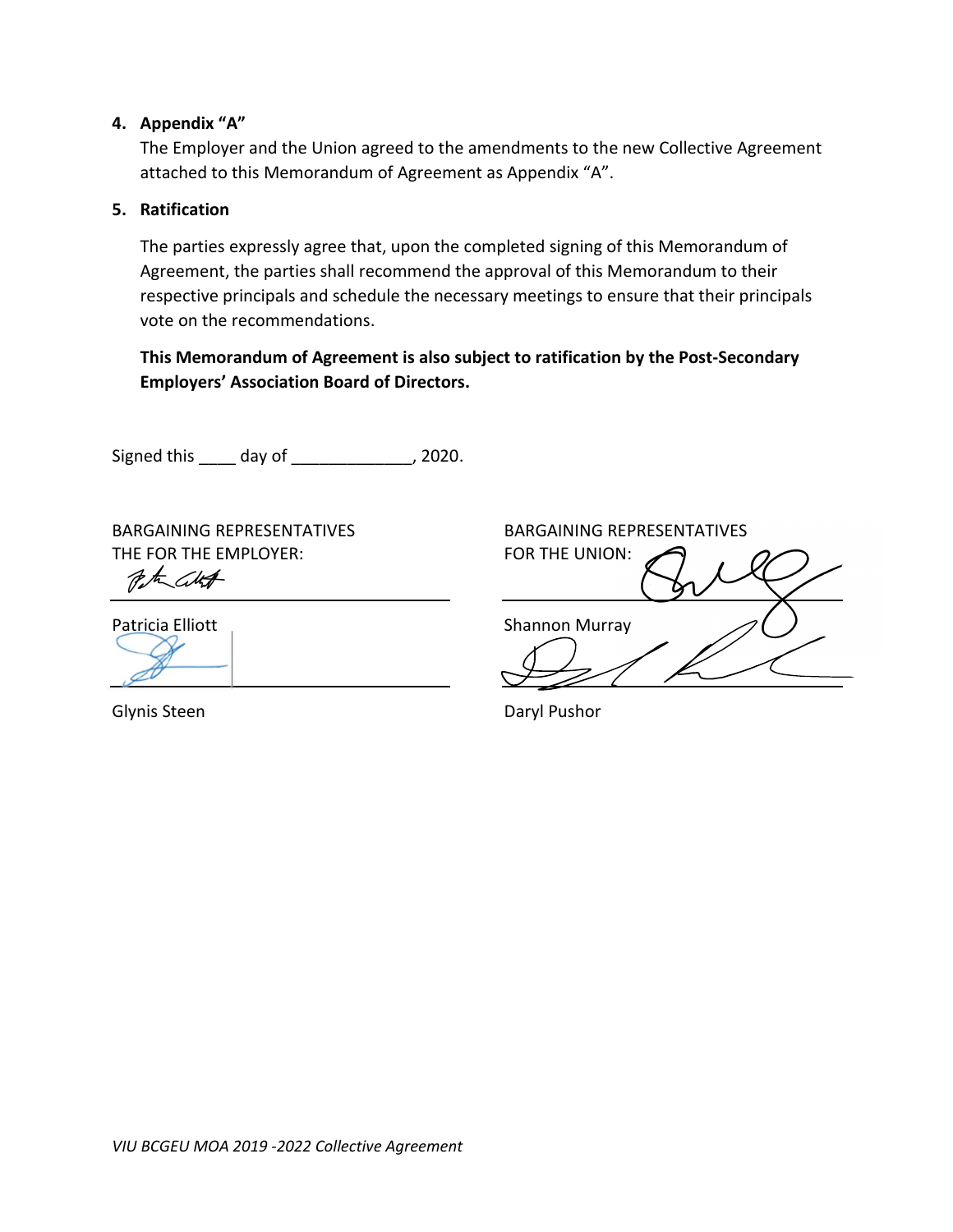## **4. Appendix "A"**

The Employer and the Union agreed to the amendments to the new Collective Agreement attached to this Memorandum of Agreement as Appendix "A".

#### **5. Ratification**

The parties expressly agree that, upon the completed signing of this Memorandum of Agreement, the parties shall recommend the approval of this Memorandum to their respective principals and schedule the necessary meetings to ensure that their principals vote on the recommendations.

**This Memorandum of Agreement is also subject to ratification by the Post-Secondary Employers' Association Board of Directors.**

Signed this \_\_\_\_ day of \_\_\_\_\_\_\_\_\_\_\_\_\_, 2020.

BARGAINING REPRESENTATIVES BARGAINING REPRESENTATIVES THE FOR THE EMPLOYER: FOR THE UNION:

Peter City

Patricia Elliott **Shannon Murray** 

Glynis Steen **Daryl Pushor** Daryl Pushor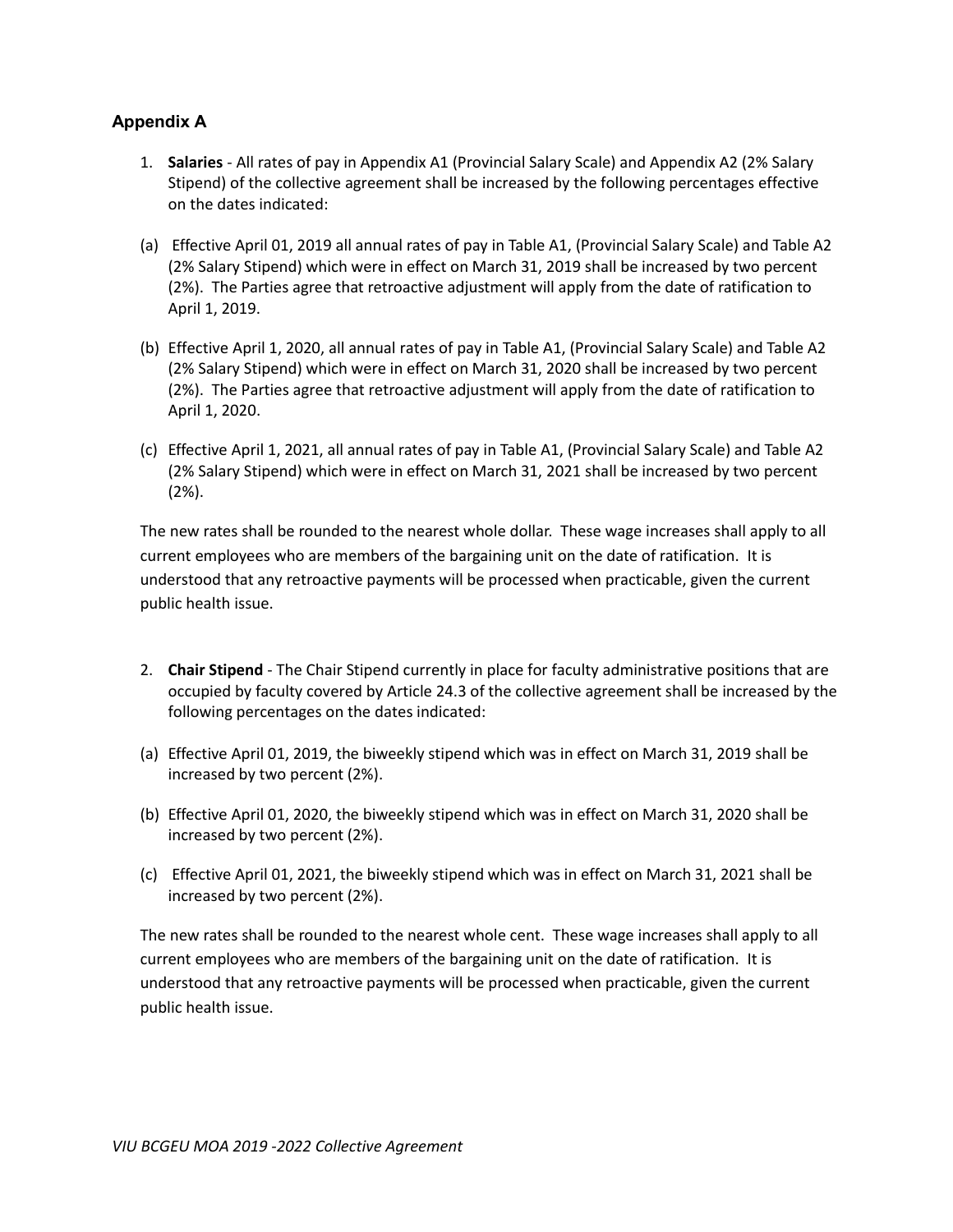# **Appendix A**

- 1. **Salaries** All rates of pay in Appendix A1 (Provincial Salary Scale) and Appendix A2 (2% Salary Stipend) of the collective agreement shall be increased by the following percentages effective on the dates indicated:
- (a) Effective April 01, 2019 all annual rates of pay in Table A1, (Provincial Salary Scale) and Table A2 (2% Salary Stipend) which were in effect on March 31, 2019 shall be increased by two percent (2%). The Parties agree that retroactive adjustment will apply from the date of ratification to April 1, 2019.
- (b) Effective April 1, 2020, all annual rates of pay in Table A1, (Provincial Salary Scale) and Table A2 (2% Salary Stipend) which were in effect on March 31, 2020 shall be increased by two percent (2%). The Parties agree that retroactive adjustment will apply from the date of ratification to April 1, 2020.
- (c) Effective April 1, 2021, all annual rates of pay in Table A1, (Provincial Salary Scale) and Table A2 (2% Salary Stipend) which were in effect on March 31, 2021 shall be increased by two percent (2%).

The new rates shall be rounded to the nearest whole dollar. These wage increases shall apply to all current employees who are members of the bargaining unit on the date of ratification. It is understood that any retroactive payments will be processed when practicable, given the current public health issue.

- 2. **Chair Stipend**  The Chair Stipend currently in place for faculty administrative positions that are occupied by faculty covered by Article 24.3 of the collective agreement shall be increased by the following percentages on the dates indicated:
- (a) Effective April 01, 2019, the biweekly stipend which was in effect on March 31, 2019 shall be increased by two percent (2%).
- (b) Effective April 01, 2020, the biweekly stipend which was in effect on March 31, 2020 shall be increased by two percent (2%).
- (c) Effective April 01, 2021, the biweekly stipend which was in effect on March 31, 2021 shall be increased by two percent (2%).

The new rates shall be rounded to the nearest whole cent. These wage increases shall apply to all current employees who are members of the bargaining unit on the date of ratification. It is understood that any retroactive payments will be processed when practicable, given the current public health issue.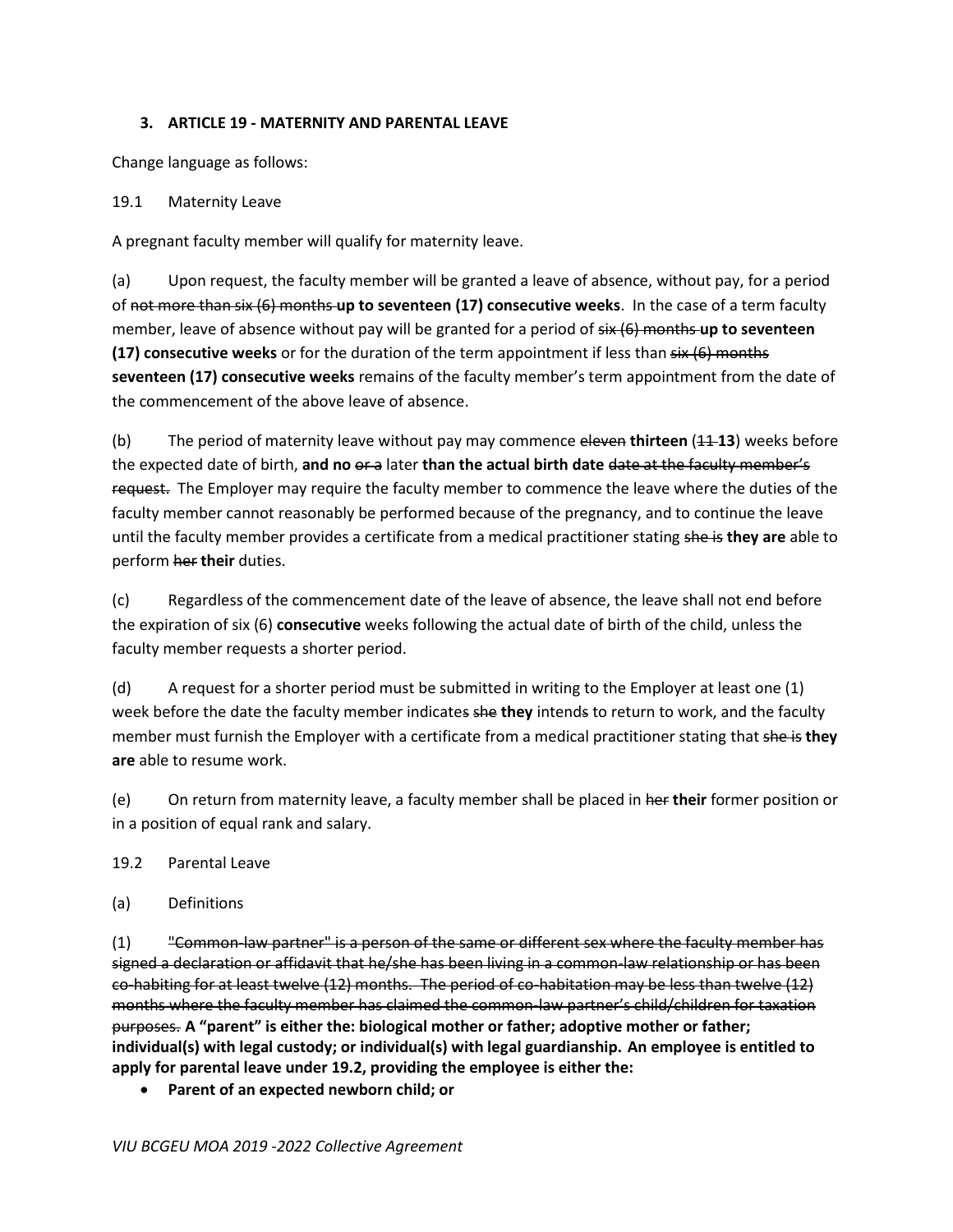#### **3. ARTICLE 19 - MATERNITY AND PARENTAL LEAVE**

Change language as follows:

19.1 Maternity Leave

A pregnant faculty member will qualify for maternity leave.

(a) Upon request, the faculty member will be granted a leave of absence, without pay, for a period of not more than six (6) months **up to seventeen (17) consecutive weeks**. In the case of a term faculty member, leave of absence without pay will be granted for a period of six (6) months **up to seventeen (17) consecutive weeks** or for the duration of the term appointment if less than six (6) months **seventeen (17) consecutive weeks** remains of the faculty member's term appointment from the date of the commencement of the above leave of absence.

(b) The period of maternity leave without pay may commence eleven **thirteen** (11 **13**) weeks before the expected date of birth, **and no** or a later **than the actual birth date** date at the faculty member's request. The Employer may require the faculty member to commence the leave where the duties of the faculty member cannot reasonably be performed because of the pregnancy, and to continue the leave until the faculty member provides a certificate from a medical practitioner stating she is **they are** able to perform her **their** duties.

(c) Regardless of the commencement date of the leave of absence, the leave shall not end before the expiration of six (6) **consecutive** weeks following the actual date of birth of the child, unless the faculty member requests a shorter period.

(d) A request for a shorter period must be submitted in writing to the Employer at least one (1) week before the date the faculty member indicates she **they** intends to return to work, and the faculty member must furnish the Employer with a certificate from a medical practitioner stating that she is they **are** able to resume work.

(e) On return from maternity leave, a faculty member shall be placed in her **their** former position or in a position of equal rank and salary.

## 19.2 Parental Leave

(a) Definitions

 $(1)$  "Common-law partner" is a person of the same or different sex where the faculty member has signed a declaration or affidavit that he/she has been living in a common-law relationship or has been co-habiting for at least twelve (12) months. The period of co-habitation may be less than twelve (12) months where the faculty member has claimed the common-law partner's child/children for taxation purposes. **A "parent" is either the: biological mother or father; adoptive mother or father; individual(s) with legal custody; or individual(s) with legal guardianship. An employee is entitled to apply for parental leave under 19.2, providing the employee is either the:**

**Parent of an expected newborn child; or**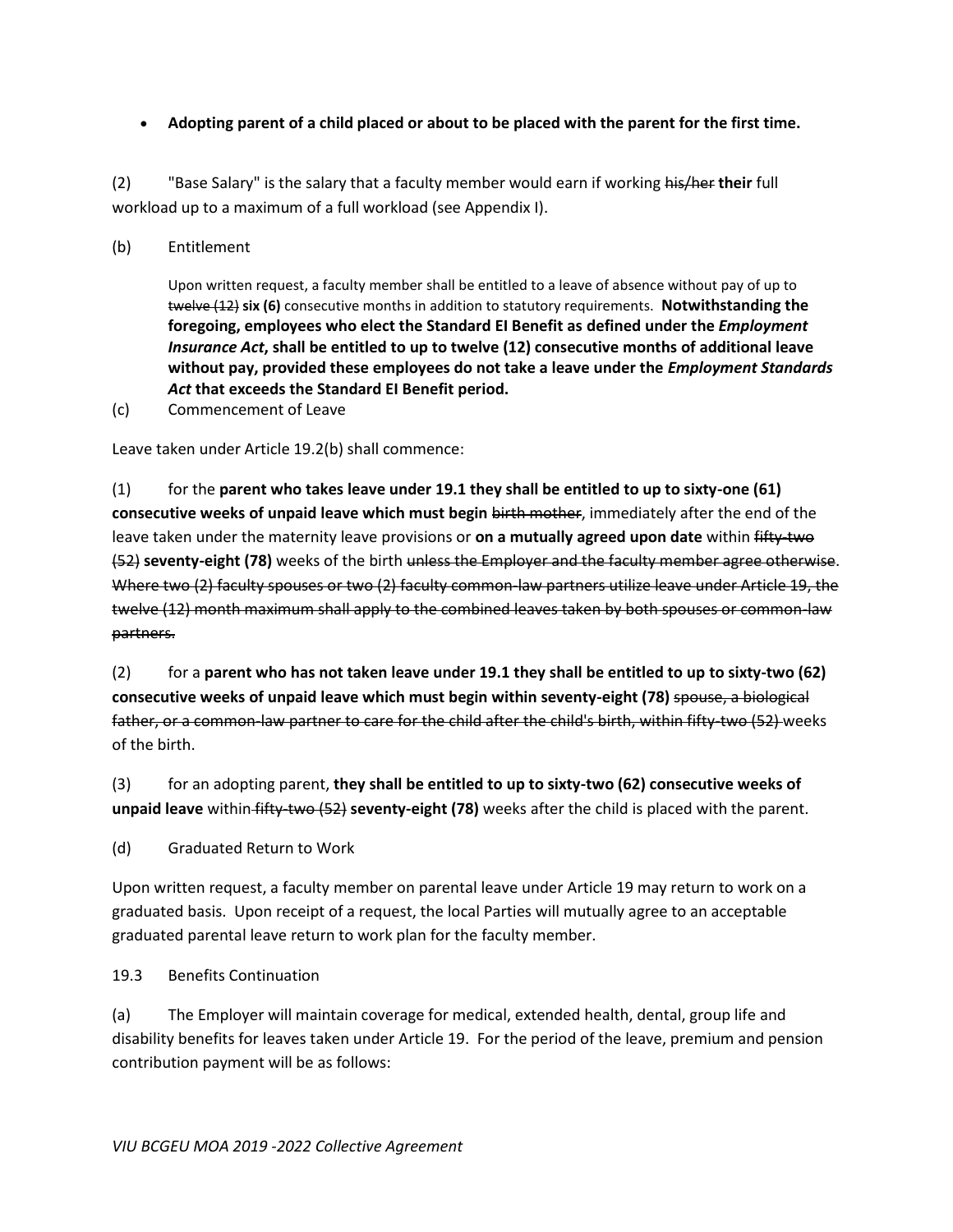## **Adopting parent of a child placed or about to be placed with the parent for the first time.**

(2) "Base Salary" is the salary that a faculty member would earn if working his/her **their** full workload up to a maximum of a full workload (see Appendix I).

#### (b) Entitlement

Upon written request, a faculty member shall be entitled to a leave of absence without pay of up to twelve (12) **six (6)** consecutive months in addition to statutory requirements. **Notwithstanding the foregoing, employees who elect the Standard EI Benefit as defined under the** *Employment Insurance Act***, shall be entitled to up to twelve (12) consecutive months of additional leave without pay, provided these employees do not take a leave under the** *Employment Standards Act* **that exceeds the Standard EI Benefit period.**

(c) Commencement of Leave

Leave taken under Article 19.2(b) shall commence:

(1) for the **parent who takes leave under 19.1 they shall be entitled to up to sixty-one (61) consecutive weeks of unpaid leave which must begin** birth mother, immediately after the end of the leave taken under the maternity leave provisions or **on a mutually agreed upon date** within fifty-two (52) **seventy-eight (78)** weeks of the birth unless the Employer and the faculty member agree otherwise. Where two (2) faculty spouses or two (2) faculty common-law partners utilize leave under Article 19, the twelve (12) month maximum shall apply to the combined leaves taken by both spouses or common-law partners.

(2) for a **parent who has not taken leave under 19.1 they shall be entitled to up to sixty-two (62) consecutive weeks of unpaid leave which must begin within seventy-eight (78)** spouse, a biological father, or a common-law partner to care for the child after the child's birth, within fifty-two (52) weeks of the birth.

(3) for an adopting parent, **they shall be entitled to up to sixty-two (62) consecutive weeks of unpaid leave** within fifty-two (52) **seventy-eight (78)** weeks after the child is placed with the parent.

(d) Graduated Return to Work

Upon written request, a faculty member on parental leave under Article 19 may return to work on a graduated basis. Upon receipt of a request, the local Parties will mutually agree to an acceptable graduated parental leave return to work plan for the faculty member.

## 19.3 Benefits Continuation

(a) The Employer will maintain coverage for medical, extended health, dental, group life and disability benefits for leaves taken under Article 19. For the period of the leave, premium and pension contribution payment will be as follows: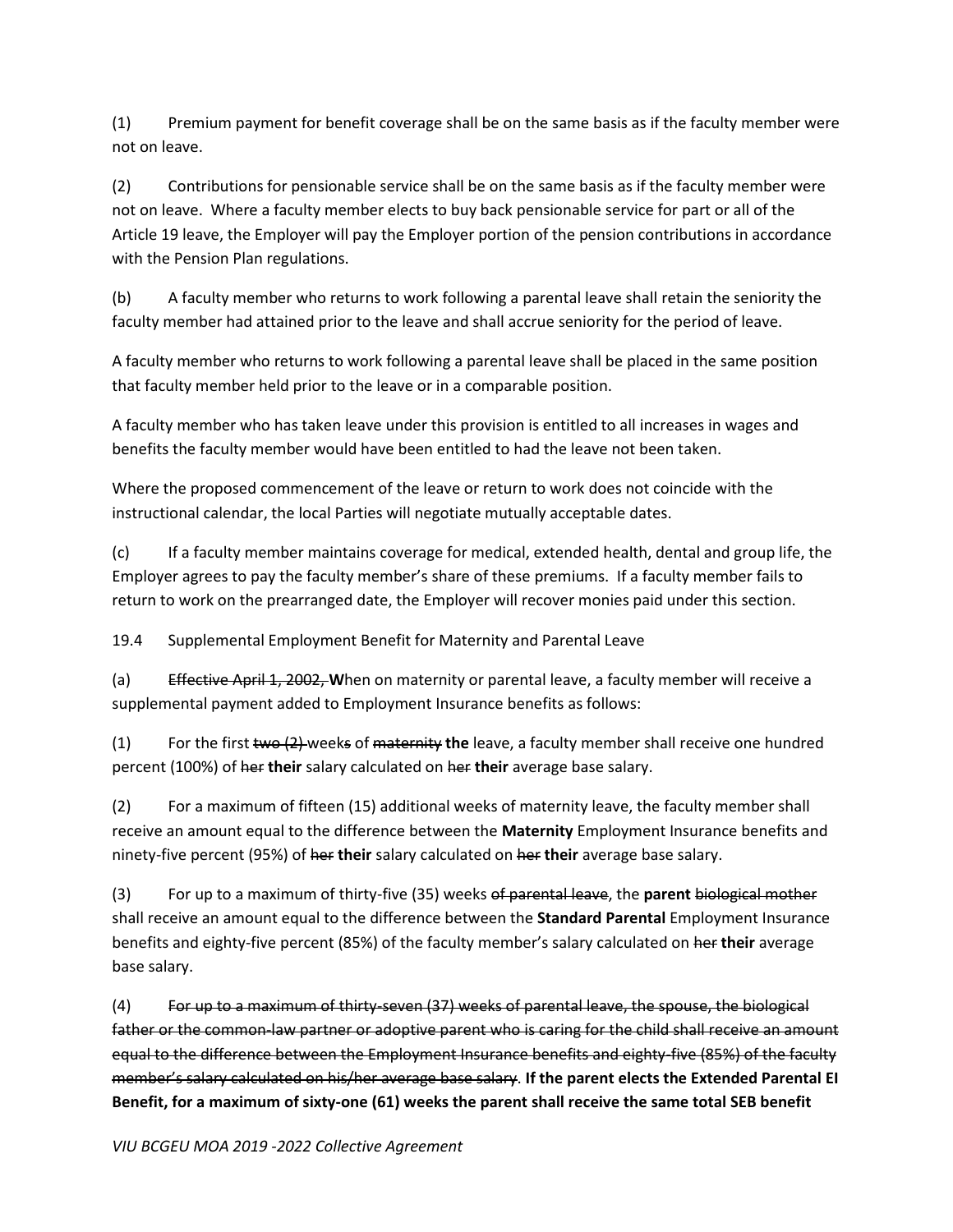(1) Premium payment for benefit coverage shall be on the same basis as if the faculty member were not on leave.

(2) Contributions for pensionable service shall be on the same basis as if the faculty member were not on leave. Where a faculty member elects to buy back pensionable service for part or all of the Article 19 leave, the Employer will pay the Employer portion of the pension contributions in accordance with the Pension Plan regulations.

(b) A faculty member who returns to work following a parental leave shall retain the seniority the faculty member had attained prior to the leave and shall accrue seniority for the period of leave.

A faculty member who returns to work following a parental leave shall be placed in the same position that faculty member held prior to the leave or in a comparable position.

A faculty member who has taken leave under this provision is entitled to all increases in wages and benefits the faculty member would have been entitled to had the leave not been taken.

Where the proposed commencement of the leave or return to work does not coincide with the instructional calendar, the local Parties will negotiate mutually acceptable dates.

(c) If a faculty member maintains coverage for medical, extended health, dental and group life, the Employer agrees to pay the faculty member's share of these premiums. If a faculty member fails to return to work on the prearranged date, the Employer will recover monies paid under this section.

19.4 Supplemental Employment Benefit for Maternity and Parental Leave

(a) Effective April 1, 2002, **W**hen on maternity or parental leave, a faculty member will receive a supplemental payment added to Employment Insurance benefits as follows:

(1) For the first two (2) weeks of maternity **the** leave, a faculty member shall receive one hundred percent (100%) of her **their** salary calculated on her **their** average base salary.

(2) For a maximum of fifteen (15) additional weeks of maternity leave, the faculty member shall receive an amount equal to the difference between the **Maternity** Employment Insurance benefits and ninety-five percent (95%) of her **their** salary calculated on her **their** average base salary.

(3) For up to a maximum of thirty-five (35) weeks of parental leave, the **parent** biological mother shall receive an amount equal to the difference between the **Standard Parental** Employment Insurance benefits and eighty-five percent (85%) of the faculty member's salary calculated on her **their** average base salary.

(4) For up to a maximum of thirty-seven (37) weeks of parental leave, the spouse, the biological father or the common-law partner or adoptive parent who is caring for the child shall receive an amount equal to the difference between the Employment Insurance benefits and eighty-five (85%) of the faculty member's salary calculated on his/her average base salary. **If the parent elects the Extended Parental EI Benefit, for a maximum of sixty-one (61) weeks the parent shall receive the same total SEB benefit**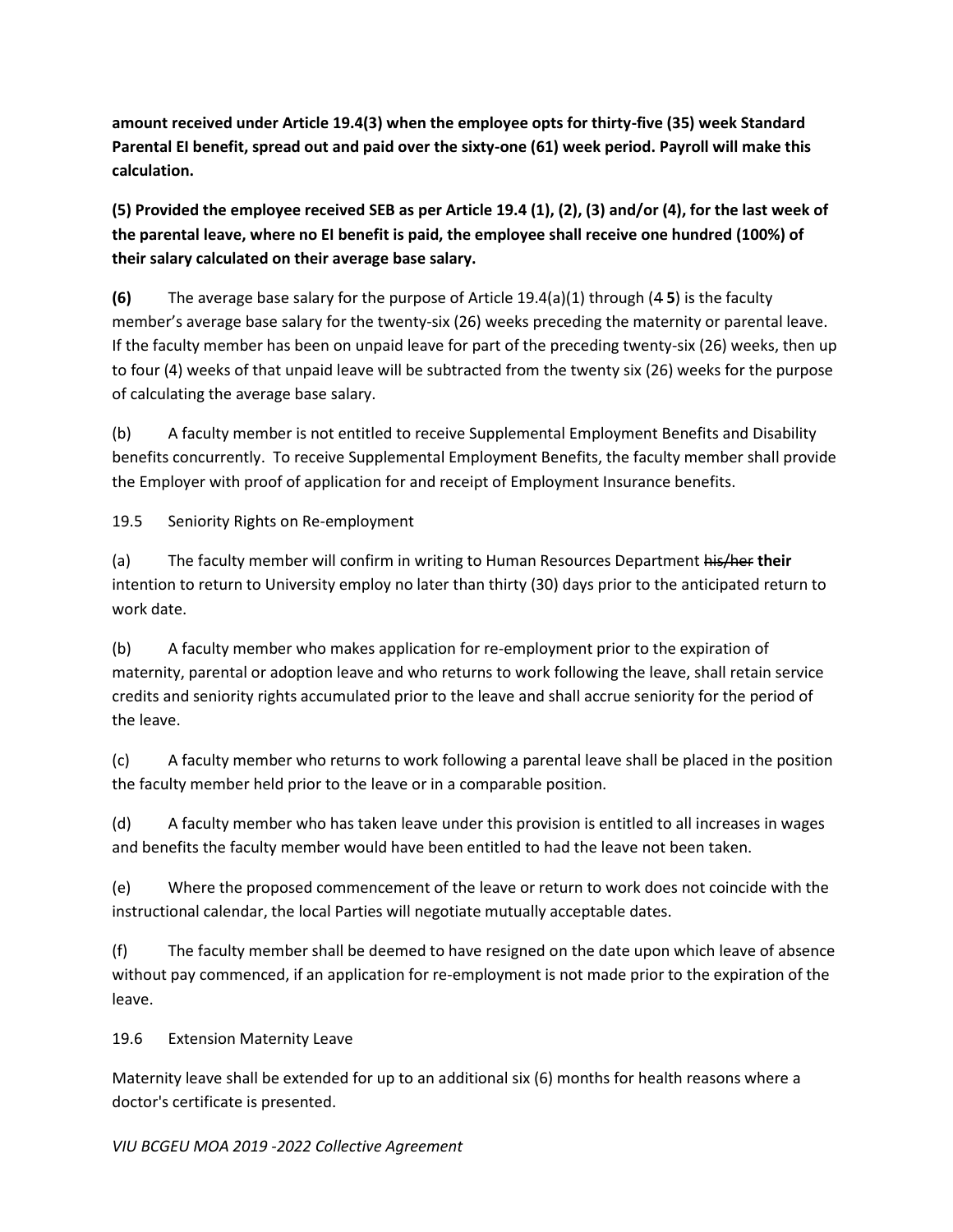**amount received under Article 19.4(3) when the employee opts for thirty-five (35) week Standard Parental EI benefit, spread out and paid over the sixty-one (61) week period. Payroll will make this calculation.**

**(5) Provided the employee received SEB as per Article 19.4 (1), (2), (3) and/or (4), for the last week of the parental leave, where no EI benefit is paid, the employee shall receive one hundred (100%) of their salary calculated on their average base salary.**

**(6)** The average base salary for the purpose of Article 19.4(a)(1) through (4 **5**) is the faculty member's average base salary for the twenty-six (26) weeks preceding the maternity or parental leave. If the faculty member has been on unpaid leave for part of the preceding twenty-six (26) weeks, then up to four (4) weeks of that unpaid leave will be subtracted from the twenty six (26) weeks for the purpose of calculating the average base salary.

(b) A faculty member is not entitled to receive Supplemental Employment Benefits and Disability benefits concurrently. To receive Supplemental Employment Benefits, the faculty member shall provide the Employer with proof of application for and receipt of Employment Insurance benefits.

19.5 Seniority Rights on Re-employment

(a) The faculty member will confirm in writing to Human Resources Department his/her **their** intention to return to University employ no later than thirty (30) days prior to the anticipated return to work date.

(b) A faculty member who makes application for re-employment prior to the expiration of maternity, parental or adoption leave and who returns to work following the leave, shall retain service credits and seniority rights accumulated prior to the leave and shall accrue seniority for the period of the leave.

(c) A faculty member who returns to work following a parental leave shall be placed in the position the faculty member held prior to the leave or in a comparable position.

(d) A faculty member who has taken leave under this provision is entitled to all increases in wages and benefits the faculty member would have been entitled to had the leave not been taken.

(e) Where the proposed commencement of the leave or return to work does not coincide with the instructional calendar, the local Parties will negotiate mutually acceptable dates.

(f) The faculty member shall be deemed to have resigned on the date upon which leave of absence without pay commenced, if an application for re-employment is not made prior to the expiration of the leave.

# 19.6 Extension Maternity Leave

Maternity leave shall be extended for up to an additional six (6) months for health reasons where a doctor's certificate is presented.

## *VIU BCGEU MOA 2019 -2022 Collective Agreement*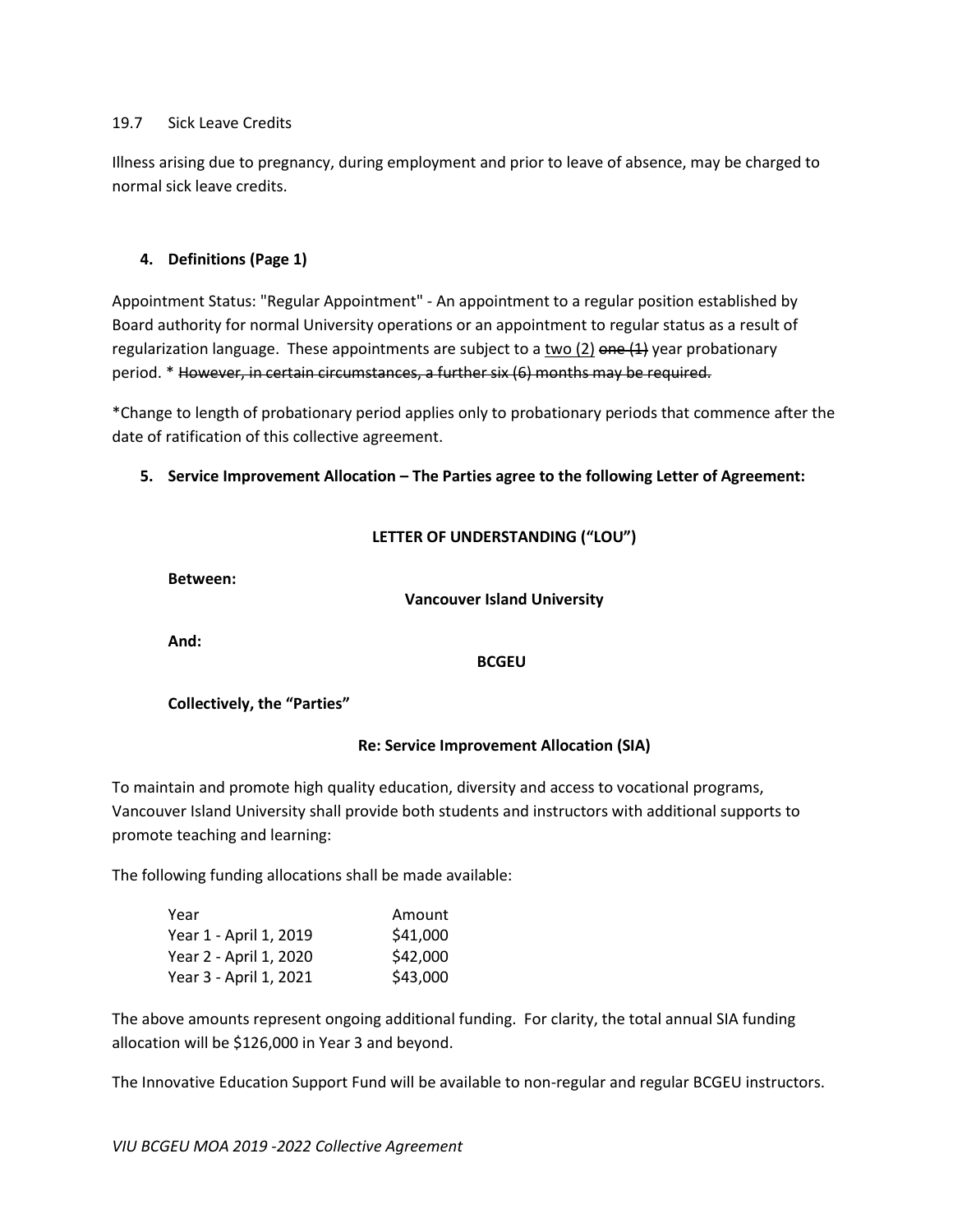#### 19.7 Sick Leave Credits

Illness arising due to pregnancy, during employment and prior to leave of absence, may be charged to normal sick leave credits.

#### **4. Definitions (Page 1)**

Appointment Status: "Regular Appointment" ‐ An appointment to a regular position established by Board authority for normal University operations or an appointment to regular status as a result of regularization language. These appointments are subject to a two  $(2)$  one  $(1)$  year probationary period. \* However, in certain circumstances, a further six (6) months may be required.

\*Change to length of probationary period applies only to probationary periods that commence after the date of ratification of this collective agreement.

#### **5. Service Improvement Allocation – The Parties agree to the following Letter of Agreement:**

|  | LETTER OF UNDERSTANDING ("LOU") |  |  |
|--|---------------------------------|--|--|
|  |                                 |  |  |

**Between:**

**Vancouver Island University**

**And:**

**BCGEU**

#### **Collectively, the "Parties"**

## **Re: Service Improvement Allocation (SIA)**

To maintain and promote high quality education, diversity and access to vocational programs, Vancouver Island University shall provide both students and instructors with additional supports to promote teaching and learning:

The following funding allocations shall be made available:

| Year                   | Amount   |
|------------------------|----------|
| Year 1 - April 1, 2019 | \$41,000 |
| Year 2 - April 1, 2020 | \$42,000 |
| Year 3 - April 1, 2021 | \$43,000 |

The above amounts represent ongoing additional funding. For clarity, the total annual SIA funding allocation will be \$126,000 in Year 3 and beyond.

The Innovative Education Support Fund will be available to non-regular and regular BCGEU instructors.